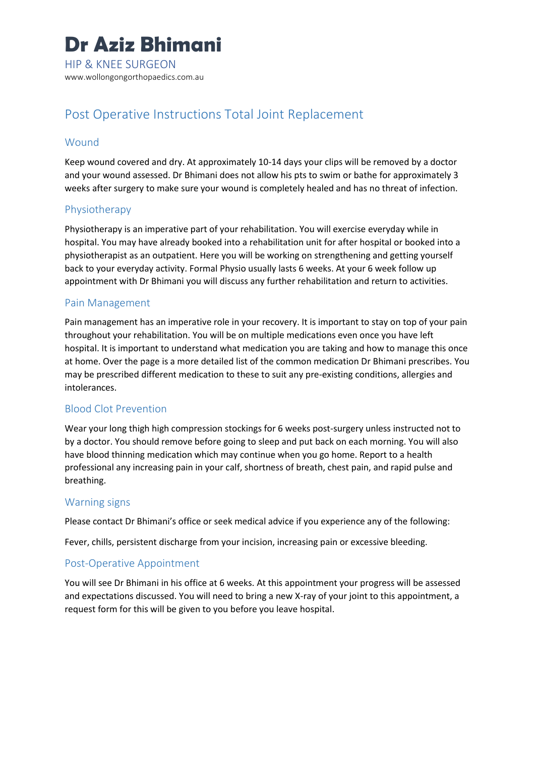

# Post Operative Instructions Total Joint Replacement

#### **Wound**

Keep wound covered and dry. At approximately 10-14 days your clips will be removed by a doctor and your wound assessed. Dr Bhimani does not allow his pts to swim or bathe for approximately 3 weeks after surgery to make sure your wound is completely healed and has no threat of infection.

#### Physiotherapy

Physiotherapy is an imperative part of your rehabilitation. You will exercise everyday while in hospital. You may have already booked into a rehabilitation unit for after hospital or booked into a physiotherapist as an outpatient. Here you will be working on strengthening and getting yourself back to your everyday activity. Formal Physio usually lasts 6 weeks. At your 6 week follow up appointment with Dr Bhimani you will discuss any further rehabilitation and return to activities.

#### Pain Management

Pain management has an imperative role in your recovery. It is important to stay on top of your pain throughout your rehabilitation. You will be on multiple medications even once you have left hospital. It is important to understand what medication you are taking and how to manage this once at home. Over the page is a more detailed list of the common medication Dr Bhimani prescribes. You may be prescribed different medication to these to suit any pre-existing conditions, allergies and intolerances.

#### Blood Clot Prevention

Wear your long thigh high compression stockings for 6 weeks post-surgery unless instructed not to by a doctor. You should remove before going to sleep and put back on each morning. You will also have blood thinning medication which may continue when you go home. Report to a health professional any increasing pain in your calf, shortness of breath, chest pain, and rapid pulse and breathing.

#### Warning signs

Please contact Dr Bhimani's office or seek medical advice if you experience any of the following:

Fever, chills, persistent discharge from your incision, increasing pain or excessive bleeding.

#### Post-Operative Appointment

You will see Dr Bhimani in his office at 6 weeks. At this appointment your progress will be assessed and expectations discussed. You will need to bring a new X-ray of your joint to this appointment, a request form for this will be given to you before you leave hospital.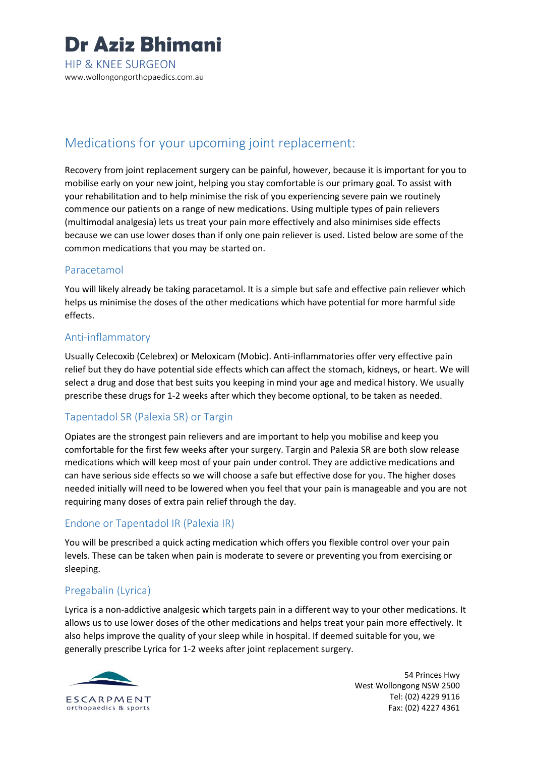

# Medications for your upcoming joint replacement:

Recovery from joint replacement surgery can be painful, however, because it is important for you to mobilise early on your new joint, helping you stay comfortable is our primary goal. To assist with your rehabilitation and to help minimise the risk of you experiencing severe pain we routinely commence our patients on a range of new medications. Using multiple types of pain relievers (multimodal analgesia) lets us treat your pain more effectively and also minimises side effects because we can use lower doses than if only one pain reliever is used. Listed below are some of the common medications that you may be started on.

### Paracetamol

You will likely already be taking paracetamol. It is a simple but safe and effective pain reliever which helps us minimise the doses of the other medications which have potential for more harmful side effects.

#### Anti-inflammatory

Usually Celecoxib (Celebrex) or Meloxicam (Mobic). Anti-inflammatories offer very effective pain relief but they do have potential side effects which can affect the stomach, kidneys, or heart. We will select a drug and dose that best suits you keeping in mind your age and medical history. We usually prescribe these drugs for 1-2 weeks after which they become optional, to be taken as needed.

## Tapentadol SR (Palexia SR) or Targin

Opiates are the strongest pain relievers and are important to help you mobilise and keep you comfortable for the first few weeks after your surgery. Targin and Palexia SR are both slow release medications which will keep most of your pain under control. They are addictive medications and can have serious side effects so we will choose a safe but effective dose for you. The higher doses needed initially will need to be lowered when you feel that your pain is manageable and you are not requiring many doses of extra pain relief through the day.

## Endone or Tapentadol IR (Palexia IR)

You will be prescribed a quick acting medication which offers you flexible control over your pain levels. These can be taken when pain is moderate to severe or preventing you from exercising or sleeping.

# Pregabalin (Lyrica)

Lyrica is a non-addictive analgesic which targets pain in a different way to your other medications. It allows us to use lower doses of the other medications and helps treat your pain more effectively. It also helps improve the quality of your sleep while in hospital. If deemed suitable for you, we generally prescribe Lyrica for 1-2 weeks after joint replacement surgery.



54 Princes Hwy West Wollongong NSW 2500 Tel: (02) 4229 9116 Fax: (02) 4227 4361